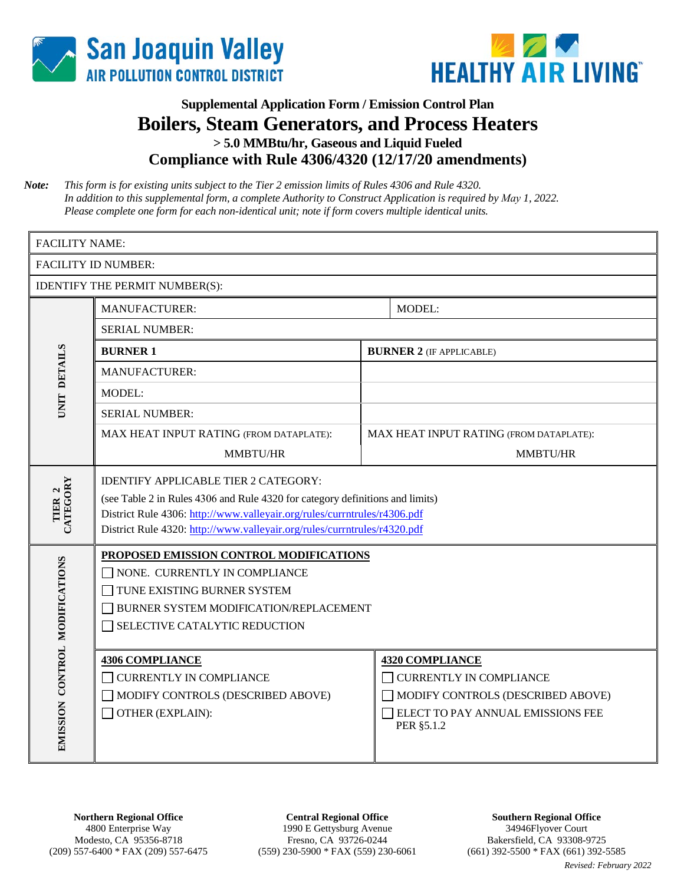



## **Supplemental Application Form / Emission Control Plan Boilers, Steam Generators, and Process Heaters > 5.0 MMBtu/hr, Gaseous and Liquid Fueled Compliance with Rule 4306/4320 (12/17/20 amendments)**

*Note: This form is for existing units subject to the Tier 2 emission limits of Rules 4306 and Rule 4320. In addition to this supplemental form, a complete Authority to Construct Application is required by May 1, 2022. Please complete one form for each non-identical unit; note if form covers multiple identical units.*

| <b>FACILITY NAME:</b>                 |                                                                                                                                                                                                                                                                                      |                                         |                                                                                                                                                  |  |  |  |  |
|---------------------------------------|--------------------------------------------------------------------------------------------------------------------------------------------------------------------------------------------------------------------------------------------------------------------------------------|-----------------------------------------|--------------------------------------------------------------------------------------------------------------------------------------------------|--|--|--|--|
|                                       | <b>FACILITY ID NUMBER:</b>                                                                                                                                                                                                                                                           |                                         |                                                                                                                                                  |  |  |  |  |
| <b>IDENTIFY THE PERMIT NUMBER(S):</b> |                                                                                                                                                                                                                                                                                      |                                         |                                                                                                                                                  |  |  |  |  |
|                                       | <b>MANUFACTURER:</b>                                                                                                                                                                                                                                                                 |                                         | MODEL:                                                                                                                                           |  |  |  |  |
|                                       | <b>SERIAL NUMBER:</b>                                                                                                                                                                                                                                                                |                                         |                                                                                                                                                  |  |  |  |  |
|                                       | <b>BURNER 1</b>                                                                                                                                                                                                                                                                      |                                         | <b>BURNER 2</b> (IF APPLICABLE)                                                                                                                  |  |  |  |  |
| <b>UNIT DETAILS</b>                   | <b>MANUFACTURER:</b>                                                                                                                                                                                                                                                                 |                                         |                                                                                                                                                  |  |  |  |  |
|                                       | <b>MODEL:</b>                                                                                                                                                                                                                                                                        |                                         |                                                                                                                                                  |  |  |  |  |
|                                       | <b>SERIAL NUMBER:</b>                                                                                                                                                                                                                                                                |                                         |                                                                                                                                                  |  |  |  |  |
|                                       | MAX HEAT INPUT RATING (FROM DATAPLATE):                                                                                                                                                                                                                                              | MAX HEAT INPUT RATING (FROM DATAPLATE): |                                                                                                                                                  |  |  |  |  |
|                                       | MMBTU/HR                                                                                                                                                                                                                                                                             |                                         | <b>MMBTU/HR</b>                                                                                                                                  |  |  |  |  |
| CATEGORY<br>TIER <sub>2</sub>         | <b>IDENTIFY APPLICABLE TIER 2 CATEGORY:</b><br>(see Table 2 in Rules 4306 and Rule 4320 for category definitions and limits)<br>District Rule 4306: http://www.valleyair.org/rules/currntrules/r4306.pdf<br>District Rule 4320: http://www.valleyair.org/rules/currntrules/r4320.pdf |                                         |                                                                                                                                                  |  |  |  |  |
|                                       | PROPOSED EMISSION CONTROL MODIFICATIONS<br>NONE. CURRENTLY IN COMPLIANCE<br>TUNE EXISTING BURNER SYSTEM<br>BURNER SYSTEM MODIFICATION/REPLACEMENT<br>SELECTIVE CATALYTIC REDUCTION                                                                                                   |                                         |                                                                                                                                                  |  |  |  |  |
| EMISSION CONTROL MODIFICATIONS        | <b>4306 COMPLIANCE</b><br><b>CURRENTLY IN COMPLIANCE</b><br>MODIFY CONTROLS (DESCRIBED ABOVE)<br>OTHER (EXPLAIN):                                                                                                                                                                    |                                         | <b>4320 COMPLIANCE</b><br><b>CURRENTLY IN COMPLIANCE</b><br>MODIFY CONTROLS (DESCRIBED ABOVE)<br>ELECT TO PAY ANNUAL EMISSIONS FEE<br>PER §5.1.2 |  |  |  |  |

**Central Regional Office** 1990 E Gettysburg Avenue Fresno, CA 93726-0244 (559) 230-5900 \* FAX (559) 230-6061